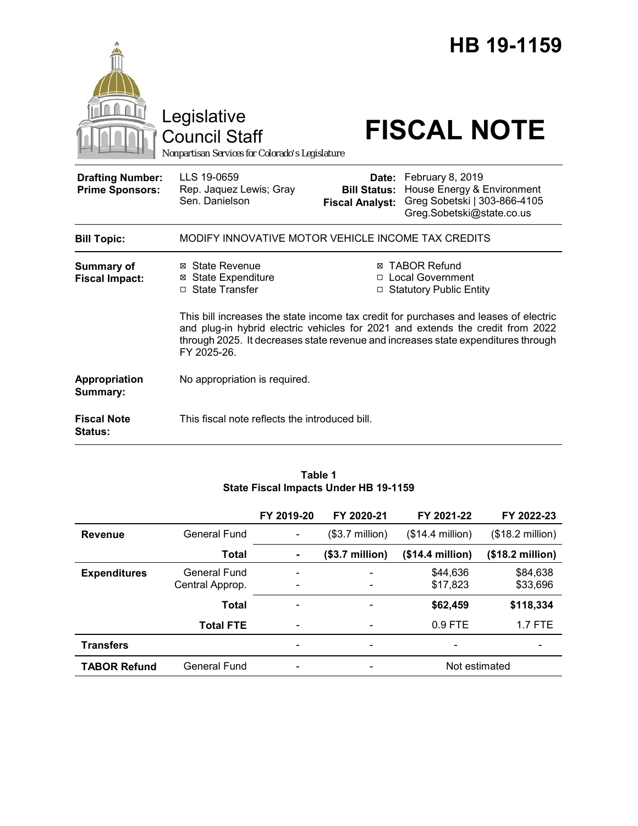|                                                   | Legislative<br><b>Council Staff</b><br>Nonpartisan Services for Colorado's Legislature |                                                        | HB 19-1159<br><b>FISCAL NOTE</b>                                                                                                                                                                                                                                                                                                 |
|---------------------------------------------------|----------------------------------------------------------------------------------------|--------------------------------------------------------|----------------------------------------------------------------------------------------------------------------------------------------------------------------------------------------------------------------------------------------------------------------------------------------------------------------------------------|
| <b>Drafting Number:</b><br><b>Prime Sponsors:</b> | LLS 19-0659<br>Rep. Jaquez Lewis; Gray<br>Sen. Danielson                               | Date:<br><b>Bill Status:</b><br><b>Fiscal Analyst:</b> | February 8, 2019<br>House Energy & Environment<br>Greg Sobetski   303-866-4105<br>Greg.Sobetski@state.co.us                                                                                                                                                                                                                      |
| <b>Bill Topic:</b>                                | MODIFY INNOVATIVE MOTOR VEHICLE INCOME TAX CREDITS                                     |                                                        |                                                                                                                                                                                                                                                                                                                                  |
| <b>Summary of</b><br><b>Fiscal Impact:</b>        | ⊠ State Revenue<br><b>⊠ State Expenditure</b><br>□ State Transfer                      |                                                        | ⊠ TABOR Refund<br>□ Local Government<br>□ Statutory Public Entity<br>This bill increases the state income tax credit for purchases and leases of electric<br>and plug-in hybrid electric vehicles for 2021 and extends the credit from 2022<br>through 2025. It decreases state revenue and increases state expenditures through |
| Appropriation                                     | FY 2025-26.<br>No appropriation is required.                                           |                                                        |                                                                                                                                                                                                                                                                                                                                  |
| Summary:<br><b>Fiscal Note</b><br><b>Status:</b>  | This fiscal note reflects the introduced bill.                                         |                                                        |                                                                                                                                                                                                                                                                                                                                  |

### **Table 1 State Fiscal Impacts Under HB 19-1159**

|                     |                  | FY 2019-20               | FY 2020-21                   | FY 2021-22               | FY 2022-23                |
|---------------------|------------------|--------------------------|------------------------------|--------------------------|---------------------------|
| <b>Revenue</b>      | General Fund     |                          | $($3.7 \text{ million})$     | $($14.4$ million)        | $($18.2 \text{ million})$ |
|                     | Total            | ۰                        | (\$3.7 million)              | (\$14.4 million)         | (\$18.2 million)          |
| <b>Expenditures</b> | General Fund     |                          | $\qquad \qquad \blacksquare$ | \$44,636                 | \$84,638                  |
|                     | Central Approp.  |                          | $\overline{\phantom{a}}$     | \$17,823                 | \$33,696                  |
|                     | Total            | $\overline{\phantom{a}}$ |                              | \$62,459                 | \$118,334                 |
|                     | <b>Total FTE</b> | $\overline{\phantom{a}}$ | $\overline{\phantom{a}}$     | 0.9 FTE                  | $1.7$ FTE                 |
| <b>Transfers</b>    |                  |                          | $\overline{\phantom{a}}$     | $\overline{\phantom{a}}$ |                           |
| <b>TABOR Refund</b> | General Fund     |                          | $\qquad \qquad \blacksquare$ | Not estimated            |                           |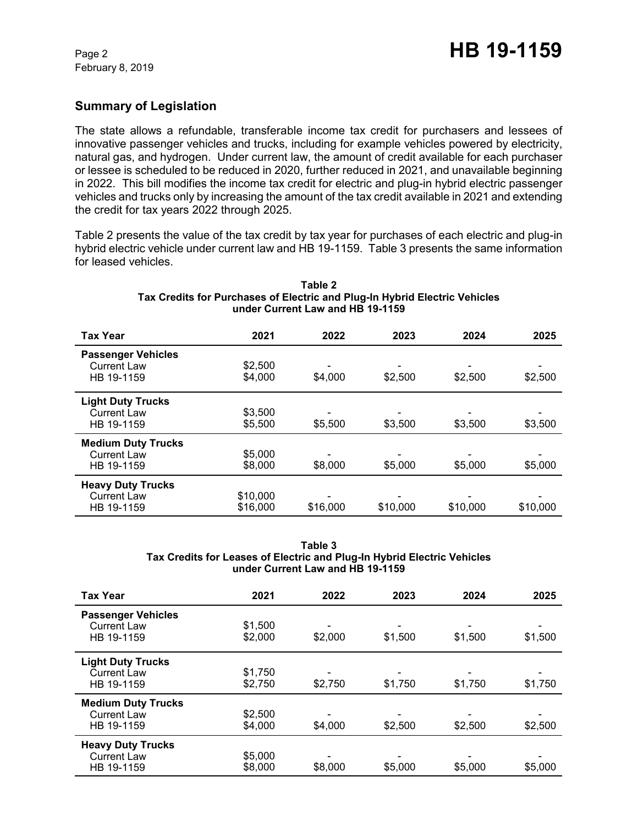# **Summary of Legislation**

The state allows a refundable, transferable income tax credit for purchasers and lessees of innovative passenger vehicles and trucks, including for example vehicles powered by electricity, natural gas, and hydrogen. Under current law, the amount of credit available for each purchaser or lessee is scheduled to be reduced in 2020, further reduced in 2021, and unavailable beginning in 2022. This bill modifies the income tax credit for electric and plug-in hybrid electric passenger vehicles and trucks only by increasing the amount of the tax credit available in 2021 and extending the credit for tax years 2022 through 2025.

Table 2 presents the value of the tax credit by tax year for purchases of each electric and plug-in hybrid electric vehicle under current law and HB 19-1159. Table 3 presents the same information for leased vehicles.

| <b>Tax Year</b>                                               | 2021                 | 2022     | 2023     | 2024     | 2025     |
|---------------------------------------------------------------|----------------------|----------|----------|----------|----------|
| <b>Passenger Vehicles</b><br><b>Current Law</b><br>HB 19-1159 | \$2,500<br>\$4,000   | \$4,000  | \$2,500  | \$2,500  | \$2,500  |
| <b>Light Duty Trucks</b><br><b>Current Law</b><br>HB 19-1159  | \$3,500<br>\$5,500   | \$5,500  | \$3,500  | \$3,500  | \$3,500  |
| <b>Medium Duty Trucks</b><br><b>Current Law</b><br>HB 19-1159 | \$5,000<br>\$8,000   | \$8,000  | \$5,000  | \$5,000  | \$5,000  |
| <b>Heavy Duty Trucks</b><br><b>Current Law</b><br>HB 19-1159  | \$10,000<br>\$16,000 | \$16,000 | \$10,000 | \$10,000 | \$10,000 |

#### **Table 2 Tax Credits for Purchases of Electric and Plug-In Hybrid Electric Vehicles under Current Law and HB 19-1159**

#### **Table 3 Tax Credits for Leases of Electric and Plug-In Hybrid Electric Vehicles under Current Law and HB 19-1159**

| <b>Tax Year</b>                                               | 2021               | 2022    | 2023    | 2024    | 2025    |
|---------------------------------------------------------------|--------------------|---------|---------|---------|---------|
| <b>Passenger Vehicles</b><br><b>Current Law</b><br>HB 19-1159 | \$1,500<br>\$2,000 | \$2,000 | \$1,500 | \$1,500 | \$1,500 |
| <b>Light Duty Trucks</b><br><b>Current Law</b><br>HB 19-1159  | \$1,750<br>\$2,750 | \$2,750 | \$1,750 | \$1,750 | \$1,750 |
| <b>Medium Duty Trucks</b><br>Current Law<br>HB 19-1159        | \$2,500<br>\$4,000 | \$4,000 | \$2,500 | \$2,500 | \$2,500 |
| <b>Heavy Duty Trucks</b><br><b>Current Law</b><br>HB 19-1159  | \$5,000<br>\$8,000 | \$8,000 | \$5,000 | \$5,000 | \$5,000 |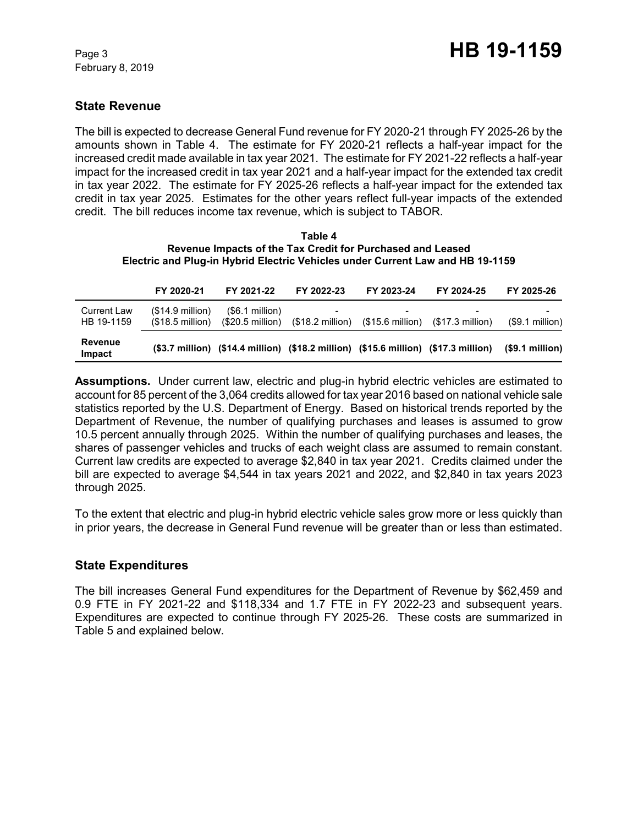## **State Revenue**

The bill is expected to decrease General Fund revenue for FY 2020-21 through FY 2025-26 by the amounts shown in Table 4. The estimate for FY 2020-21 reflects a half-year impact for the increased credit made available in tax year 2021. The estimate for FY 2021-22 reflects a half-year impact for the increased credit in tax year 2021 and a half-year impact for the extended tax credit in tax year 2022. The estimate for FY 2025-26 reflects a half-year impact for the extended tax credit in tax year 2025. Estimates for the other years reflect full-year impacts of the extended credit. The bill reduces income tax revenue, which is subject to TABOR.

#### **Table 4 Revenue Impacts of the Tax Credit for Purchased and Leased Electric and Plug-in Hybrid Electric Vehicles under Current Law and HB 19-1159**

|                                  | FY 2020-21                             | FY 2021-22                                                                          | FY 2022-23 | FY 2023-24                                                                    | FY 2024-25               | FY 2025-26            |
|----------------------------------|----------------------------------------|-------------------------------------------------------------------------------------|------------|-------------------------------------------------------------------------------|--------------------------|-----------------------|
| <b>Current Law</b><br>HB 19-1159 | $($14.9$ million)<br>$(S18.5$ million) | (\$6.1 million)<br>$(S20.5$ million)                                                |            | $($18.2 \text{ million})$ $($15.6 \text{ million})$ $($17.3 \text{ million})$ | $\overline{\phantom{0}}$ | -<br>$(S9.1$ million) |
| Revenue<br>Impact                |                                        | (\$3.7 million) (\$14.4 million) (\$18.2 million) (\$15.6 million) (\$17.3 million) |            |                                                                               |                          | (\$9.1 million)       |

**Assumptions.** Under current law, electric and plug-in hybrid electric vehicles are estimated to account for 85 percent of the 3,064 credits allowed for tax year 2016 based on national vehicle sale statistics reported by the U.S. Department of Energy. Based on historical trends reported by the Department of Revenue, the number of qualifying purchases and leases is assumed to grow 10.5 percent annually through 2025. Within the number of qualifying purchases and leases, the shares of passenger vehicles and trucks of each weight class are assumed to remain constant. Current law credits are expected to average \$2,840 in tax year 2021. Credits claimed under the bill are expected to average \$4,544 in tax years 2021 and 2022, and \$2,840 in tax years 2023 through 2025.

To the extent that electric and plug-in hybrid electric vehicle sales grow more or less quickly than in prior years, the decrease in General Fund revenue will be greater than or less than estimated.

## **State Expenditures**

The bill increases General Fund expenditures for the Department of Revenue by \$62,459 and 0.9 FTE in FY 2021-22 and \$118,334 and 1.7 FTE in FY 2022-23 and subsequent years. Expenditures are expected to continue through FY 2025-26. These costs are summarized in Table 5 and explained below.